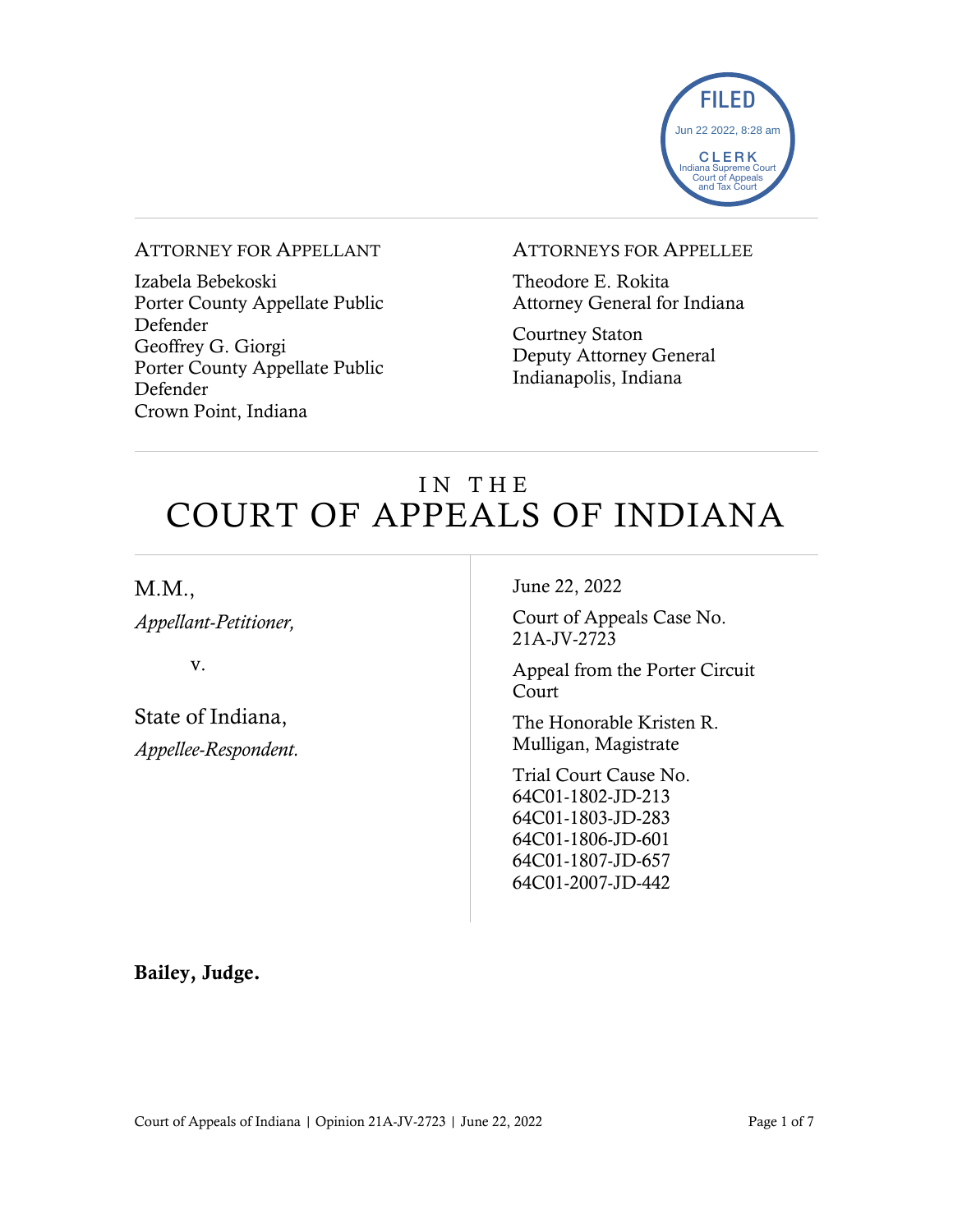

#### ATTORNEY FOR APPELLANT

Izabela Bebekoski Porter County Appellate Public Defender Geoffrey G. Giorgi Porter County Appellate Public Defender Crown Point, Indiana

#### ATTORNEYS FOR APPELLEE

Theodore E. Rokita Attorney General for Indiana

Courtney Staton Deputy Attorney General Indianapolis, Indiana

## IN THE COURT OF APPEALS OF INDIANA

M.M.,

*Appellant-Petitioner,*

v.

State of Indiana, *Appellee-Respondent.* June 22, 2022

Court of Appeals Case No. 21A-JV-2723

Appeal from the Porter Circuit Court

The Honorable Kristen R. Mulligan, Magistrate

Trial Court Cause No. 64C01-1802-JD-213 64C01-1803-JD-283 64C01-1806-JD-601 64C01-1807-JD-657 64C01-2007-JD-442

Bailey, Judge.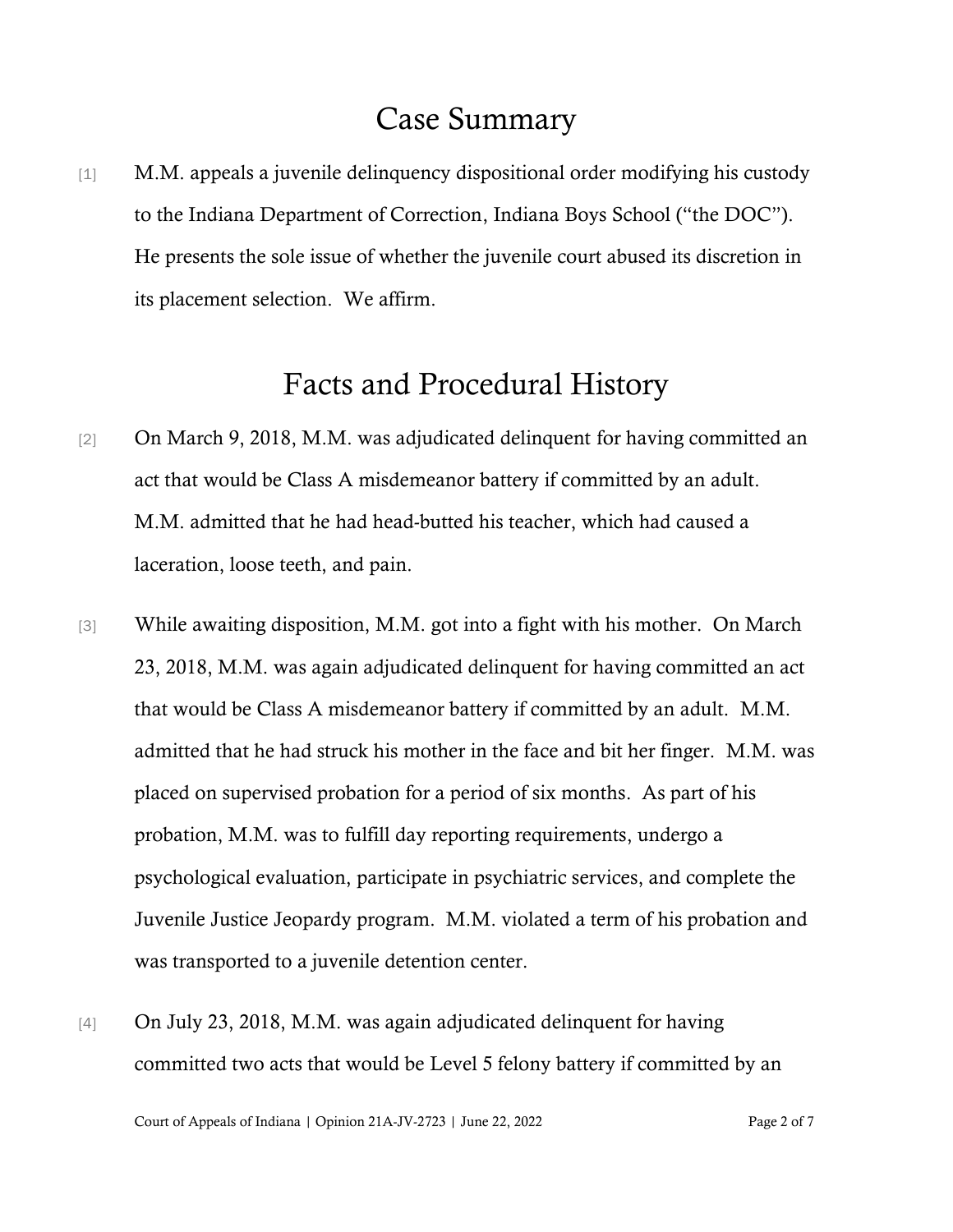### Case Summary

[1] M.M. appeals a juvenile delinquency dispositional order modifying his custody to the Indiana Department of Correction, Indiana Boys School ("the DOC"). He presents the sole issue of whether the juvenile court abused its discretion in its placement selection. We affirm.

### Facts and Procedural History

- [2] On March 9, 2018, M.M. was adjudicated delinquent for having committed an act that would be Class A misdemeanor battery if committed by an adult. M.M. admitted that he had head-butted his teacher, which had caused a laceration, loose teeth, and pain.
- [3] While awaiting disposition, M.M. got into a fight with his mother. On March 23, 2018, M.M. was again adjudicated delinquent for having committed an act that would be Class A misdemeanor battery if committed by an adult. M.M. admitted that he had struck his mother in the face and bit her finger. M.M. was placed on supervised probation for a period of six months. As part of his probation, M.M. was to fulfill day reporting requirements, undergo a psychological evaluation, participate in psychiatric services, and complete the Juvenile Justice Jeopardy program. M.M. violated a term of his probation and was transported to a juvenile detention center.
- [4] On July 23, 2018, M.M. was again adjudicated delinquent for having committed two acts that would be Level 5 felony battery if committed by an

Court of Appeals of Indiana | Opinion 21A-JV-2723 | June 22, 2022 Page 2 of 7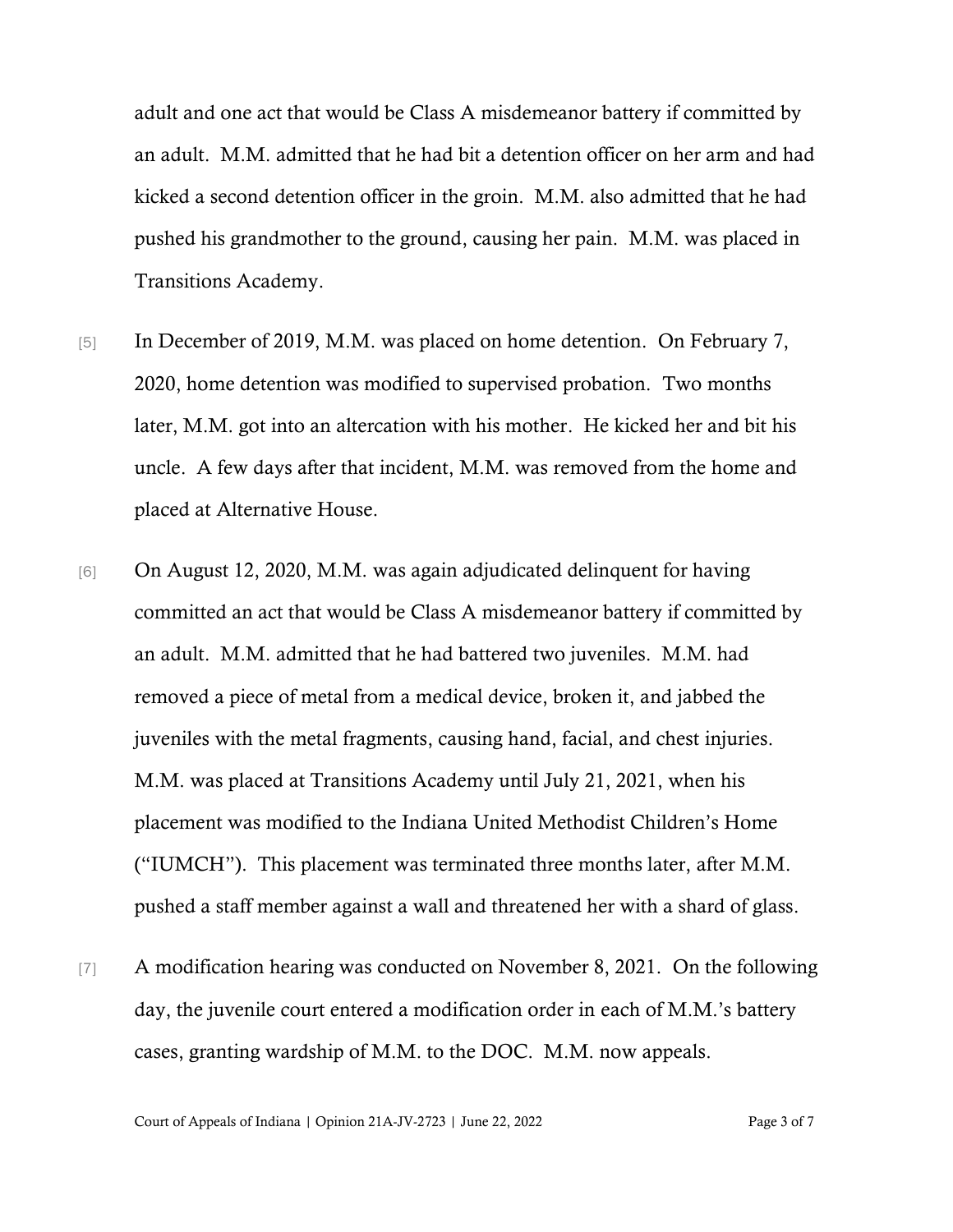adult and one act that would be Class A misdemeanor battery if committed by an adult. M.M. admitted that he had bit a detention officer on her arm and had kicked a second detention officer in the groin. M.M. also admitted that he had pushed his grandmother to the ground, causing her pain. M.M. was placed in Transitions Academy.

- [5] In December of 2019, M.M. was placed on home detention. On February 7, 2020, home detention was modified to supervised probation. Two months later, M.M. got into an altercation with his mother. He kicked her and bit his uncle. A few days after that incident, M.M. was removed from the home and placed at Alternative House.
- [6] On August 12, 2020, M.M. was again adjudicated delinquent for having committed an act that would be Class A misdemeanor battery if committed by an adult. M.M. admitted that he had battered two juveniles. M.M. had removed a piece of metal from a medical device, broken it, and jabbed the juveniles with the metal fragments, causing hand, facial, and chest injuries. M.M. was placed at Transitions Academy until July 21, 2021, when his placement was modified to the Indiana United Methodist Children's Home ("IUMCH"). This placement was terminated three months later, after M.M. pushed a staff member against a wall and threatened her with a shard of glass.
- [7] A modification hearing was conducted on November 8, 2021. On the following day, the juvenile court entered a modification order in each of M.M.'s battery cases, granting wardship of M.M. to the DOC. M.M. now appeals.

Court of Appeals of Indiana | Opinion 21A-JV-2723 | June 22, 2022 Page 3 of 7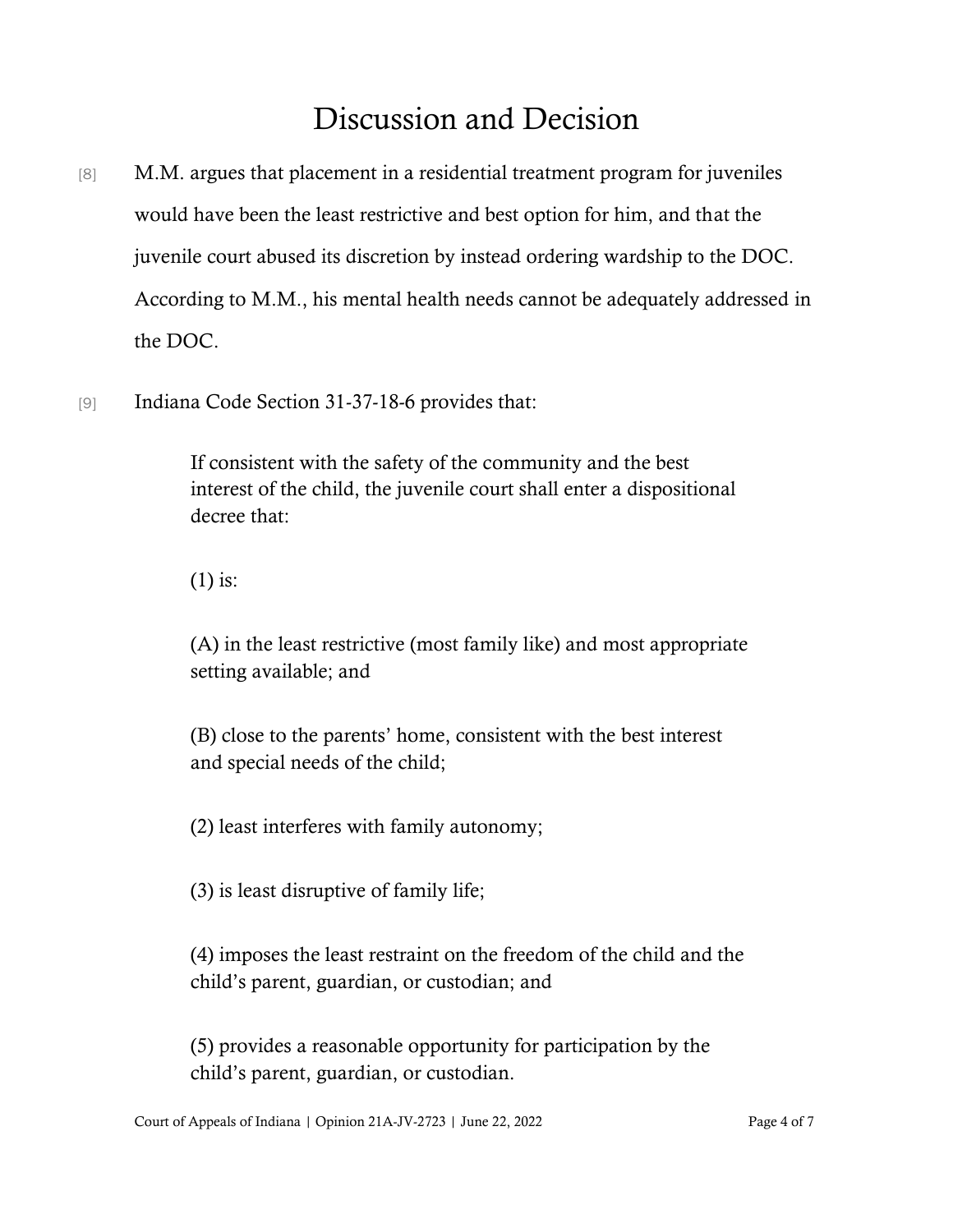# Discussion and Decision

- [8] M.M. argues that placement in a residential treatment program for juveniles would have been the least restrictive and best option for him, and that the juvenile court abused its discretion by instead ordering wardship to the DOC. According to M.M., his mental health needs cannot be adequately addressed in the DOC.
- [9] Indiana Code Section 31-37-18-6 provides that:

If consistent with the safety of the community and the best interest of the child, the juvenile court shall enter a dispositional decree that:

(1) is:

(A) in the least restrictive (most family like) and most appropriate setting available; and

(B) close to the parents' home, consistent with the best interest and special needs of the child;

(2) least interferes with family autonomy;

(3) is least disruptive of family life;

(4) imposes the least restraint on the freedom of the child and the child's parent, guardian, or custodian; and

(5) provides a reasonable opportunity for participation by the child's parent, guardian, or custodian.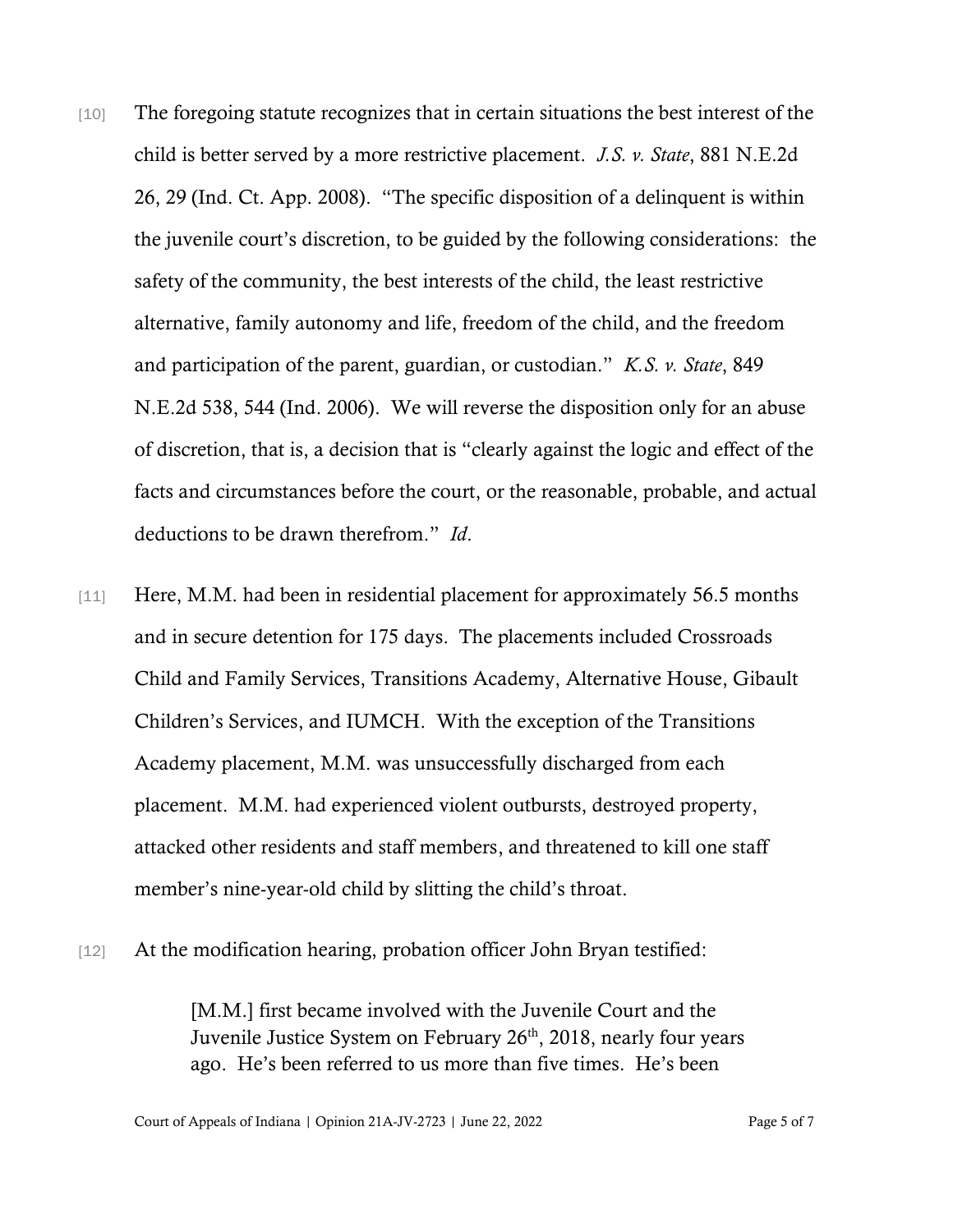- [10] The foregoing statute recognizes that in certain situations the best interest of the child is better served by a more restrictive placement. *J.S. v. State*, 881 N.E.2d 26, 29 (Ind. Ct. App. 2008). "The specific disposition of a delinquent is within the juvenile court's discretion, to be guided by the following considerations: the safety of the community, the best interests of the child, the least restrictive alternative, family autonomy and life, freedom of the child, and the freedom and participation of the parent, guardian, or custodian." *K.S. v. State*, 849 N.E.2d 538, 544 (Ind. 2006). We will reverse the disposition only for an abuse of discretion, that is, a decision that is "clearly against the logic and effect of the facts and circumstances before the court, or the reasonable, probable, and actual deductions to be drawn therefrom." *Id*.
- [11] Here, M.M. had been in residential placement for approximately 56.5 months and in secure detention for 175 days. The placements included Crossroads Child and Family Services, Transitions Academy, Alternative House, Gibault Children's Services, and IUMCH. With the exception of the Transitions Academy placement, M.M. was unsuccessfully discharged from each placement. M.M. had experienced violent outbursts, destroyed property, attacked other residents and staff members, and threatened to kill one staff member's nine-year-old child by slitting the child's throat.
- [12] At the modification hearing, probation officer John Bryan testified:

[M.M.] first became involved with the Juvenile Court and the Juvenile Justice System on February 26<sup>th</sup>, 2018, nearly four years ago. He's been referred to us more than five times. He's been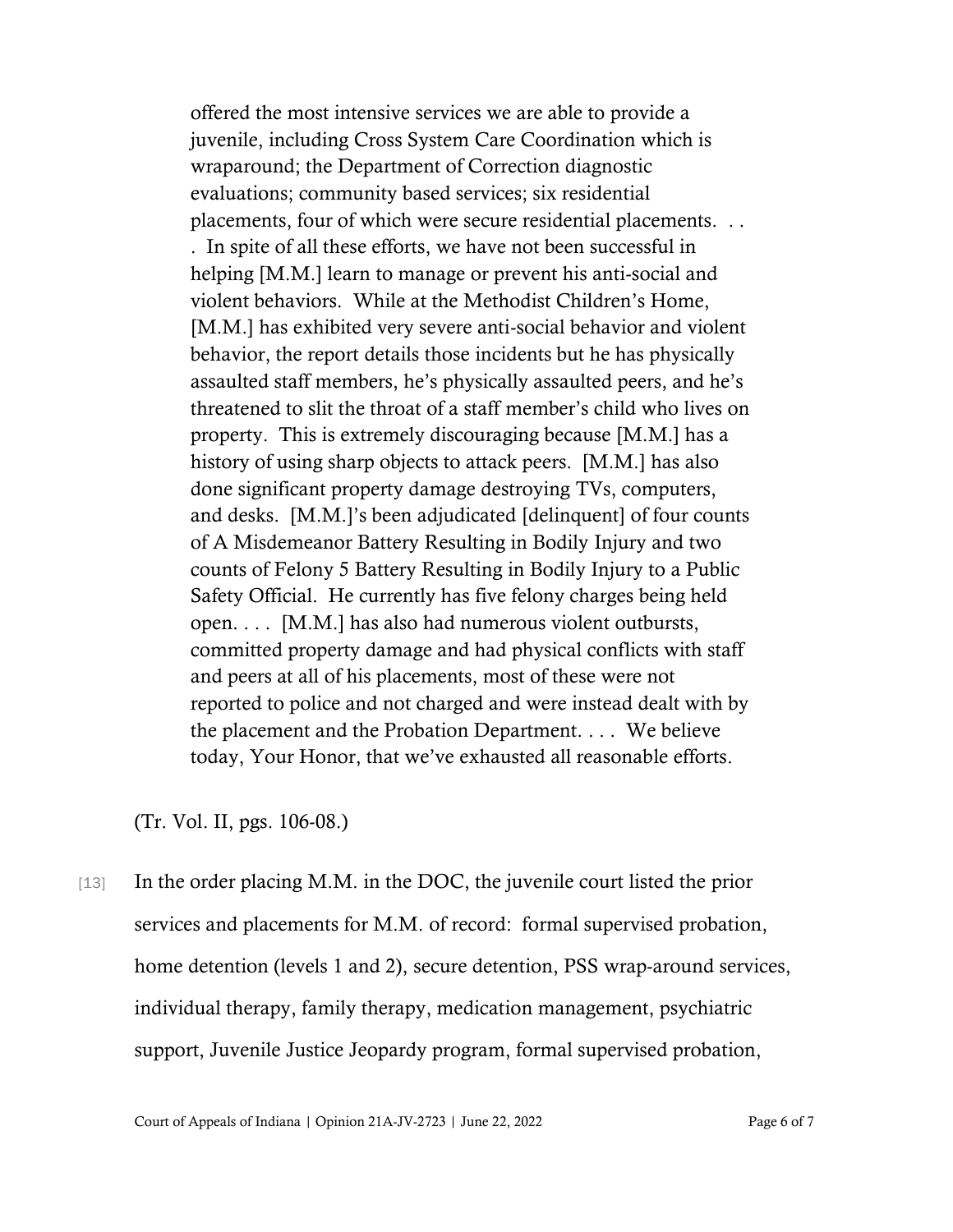offered the most intensive services we are able to provide a juvenile, including Cross System Care Coordination which is wraparound; the Department of Correction diagnostic evaluations; community based services; six residential placements, four of which were secure residential placements. . . . In spite of all these efforts, we have not been successful in helping [M.M.] learn to manage or prevent his anti-social and violent behaviors. While at the Methodist Children's Home, [M.M.] has exhibited very severe anti-social behavior and violent behavior, the report details those incidents but he has physically assaulted staff members, he's physically assaulted peers, and he's threatened to slit the throat of a staff member's child who lives on property. This is extremely discouraging because [M.M.] has a history of using sharp objects to attack peers. [M.M.] has also done significant property damage destroying TVs, computers, and desks. [M.M.]'s been adjudicated [delinquent] of four counts of A Misdemeanor Battery Resulting in Bodily Injury and two counts of Felony 5 Battery Resulting in Bodily Injury to a Public Safety Official. He currently has five felony charges being held open. . . . [M.M.] has also had numerous violent outbursts, committed property damage and had physical conflicts with staff and peers at all of his placements, most of these were not reported to police and not charged and were instead dealt with by the placement and the Probation Department. . . . We believe today, Your Honor, that we've exhausted all reasonable efforts.

(Tr. Vol. II, pgs. 106-08.)

[13] In the order placing M.M. in the DOC, the juvenile court listed the prior services and placements for M.M. of record: formal supervised probation, home detention (levels 1 and 2), secure detention, PSS wrap-around services, individual therapy, family therapy, medication management, psychiatric support, Juvenile Justice Jeopardy program, formal supervised probation,